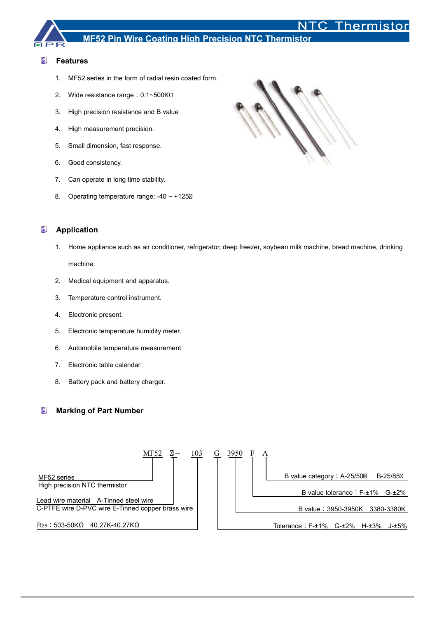# Thermistor

## **MF52 Pin Wire Coating High Precision NTC Thermistor**

#### 慟 **Features**

- 1. MF52 series in the form of radial resin coated form.
- 2. Wide resistance range: 0.1~500KΩ
- 3. High precision resistance and B value
- 4. High measurement precision.
- 5. Small dimension, fast response.
- 6. Good consistency.
- 7. Can operate in long time stability.
- 8. Operating temperature range: -40 ~ +125



#### 欟 **Application**

- 1. Home appliance such as air conditioner, refrigerator, deep freezer, soybean milk machine, bread machine, drinking machine.
- 2. Medical equipment and apparatus.
- 3. Temperature control instrument.
- 4. Electronic present.
- 5. Electronic temperature humidity meter.
- 6. Automobile temperature measurement.
- 7. Electronic table calendar.
- 8. Battery pack and battery charger.

#### 懴 **Marking of Part Number**

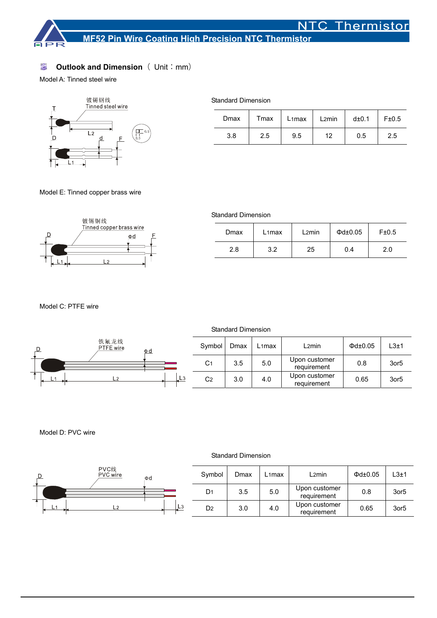

#### 慟 **Outlook and Dimension** ( Unit: mm)

Model A: Tinned steel wire



| Dmax | Tmax | L <sub>1</sub> max | L <sub>2</sub> min | d±0.1 | F±0.5 |
|------|------|--------------------|--------------------|-------|-------|
| 3.8  | 2.5  | 9.5                | 12                 | 0.5   | 2.5   |

Model E: Tinned copper brass wire



| Dmax | $L1$ max | L2min | $\Phi$ d $\pm$ 0.05 | F±0.5 |
|------|----------|-------|---------------------|-------|
| 2.8  | 3.2      | 25    | 0.4                 | 2.0   |

Model C: PTFE wire



### Model D: PVC wire



## Standard Dimension

|               | Symbol         | Dmax | $L1$ max | L2min                        | $\Phi$ d $\pm$ 0.05 | $L3+1$           |
|---------------|----------------|------|----------|------------------------------|---------------------|------------------|
|               | D1             | 3.5  | 5.0      | Upon customer<br>requirement | 0.8                 | 3or <sub>5</sub> |
| $\frac{1}{4}$ | D <sub>2</sub> | 3.0  | 4.0      | Upon customer<br>requirement | 0.65                | 3or <sub>5</sub> |